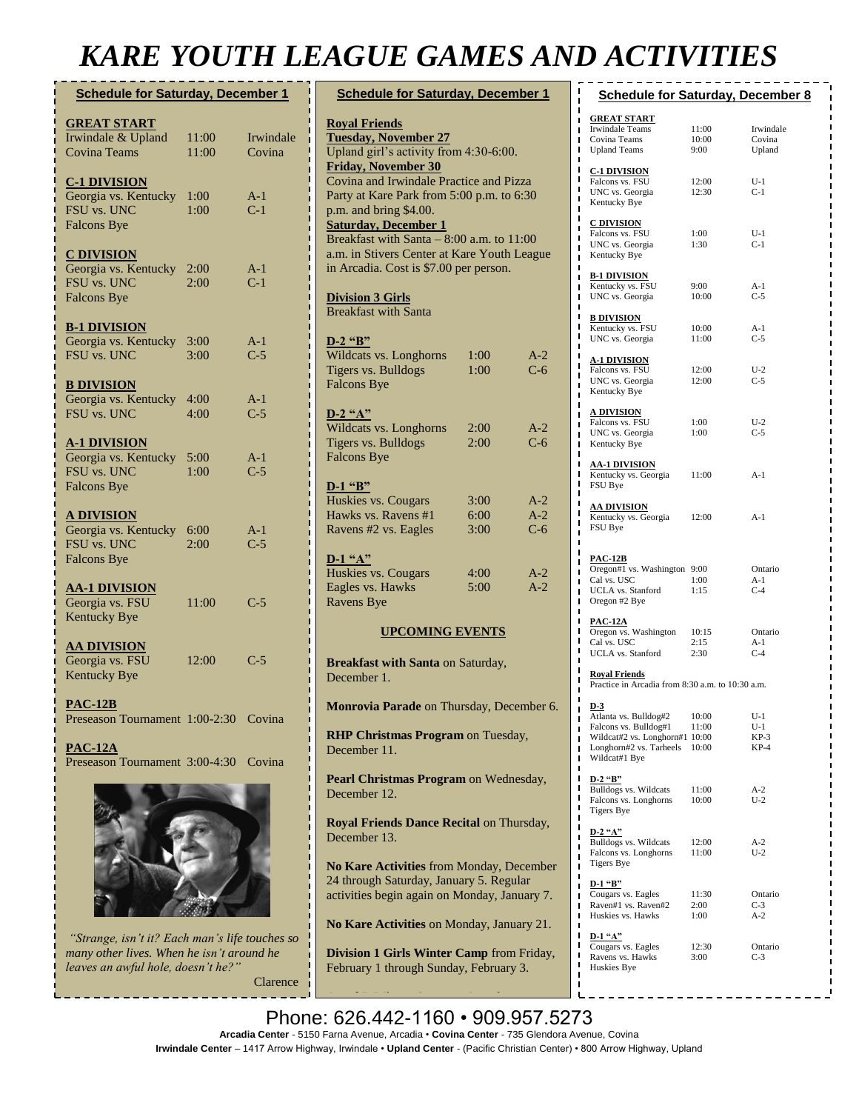## *KARE YOUTH LEAGUE GAMES AND ACTIVITIES*

| <b>Schedule for Saturday, December 1</b>                                         |                |                     |  |  |
|----------------------------------------------------------------------------------|----------------|---------------------|--|--|
| <b>GREAT START</b><br>Irwindale & Upland<br><b>Covina Teams</b>                  | 11:00<br>11:00 | Irwindale<br>Covina |  |  |
| <b>C-1 DIVISION</b><br>Georgia vs. Kentucky<br>FSU vs. UNC<br><b>Falcons Bye</b> | 1:00<br>1:00   | $A-1$<br>$C-1$      |  |  |
| <b>C DIVISION</b><br>Georgia vs. Kentucky<br>FSU vs. UNC<br><b>Falcons Bye</b>   | 2:00<br>2:00   | $A-1$<br>$C-1$      |  |  |
| <b>B-1 DIVISION</b><br>Georgia vs. Kentucky<br>FSU vs. UNC                       | 3:00<br>3:00   | $A-1$<br>$C-5$      |  |  |
| <b>B DIVISION</b><br>Georgia vs. Kentucky<br>FSU vs. UNC                         | 4:00<br>4:00   | $A-1$<br>$C-5$      |  |  |
| <u>A-1 DIVISION</u><br>Georgia vs. Kentucky<br>FSU vs. UNC<br><b>Falcons Bye</b> | 5:00<br>1:00   | $A-1$<br>$C-5$      |  |  |
| <u>A DIVISION</u><br>Georgia vs. Kentucky<br>FSU vs. UNC<br><b>Falcons Bye</b>   | 6:00<br>2:00   | $A-1$<br>$C-5$      |  |  |
| <u>AA-1 DIVISION</u><br>Georgia vs. FSU<br><b>Kentucky Bye</b>                   | 11:00          | $C-5$               |  |  |
| <u>AA DIVISION</u><br>Georgia vs. FSU<br><b>Kentucky Bye</b>                     | 12:00          | $C-5$               |  |  |
| $PAC-12B$<br>Preseason Tournament 1:00-2:30 Covina                               |                |                     |  |  |
| <b>PAC-12A</b><br>Preseason Tournament 3:00-4:30 Covina                          |                |                     |  |  |
|                                                                                  |                |                     |  |  |

*"Strange, isn't it? Each man's life touches so many other lives. When he isn't around he leaves an awful hole, doesn't he?"*

Clarence

| <b>Schedule for Saturday, December 1</b>                                                                                                                                                                                                                                                                                                                                                                            |                      |                       |  |  |
|---------------------------------------------------------------------------------------------------------------------------------------------------------------------------------------------------------------------------------------------------------------------------------------------------------------------------------------------------------------------------------------------------------------------|----------------------|-----------------------|--|--|
| <b>Royal Friends</b><br><b>Tuesday, November 27</b><br>Upland girl's activity from 4:30-6:00.<br><b>Friday, November 30</b><br>Covina and Irwindale Practice and Pizza<br>Party at Kare Park from 5:00 p.m. to 6:30<br>p.m. and bring \$4.00.<br><b>Saturday, December 1</b><br>Breakfast with Santa $-8:00$ a.m. to 11:00<br>a.m. in Stivers Center at Kare Youth League<br>in Arcadia. Cost is \$7.00 per person. |                      |                       |  |  |
| <b>Division 3 Girls</b><br><b>Breakfast with Santa</b>                                                                                                                                                                                                                                                                                                                                                              |                      |                       |  |  |
| $D-2$ "B"<br>Wildcats vs. Longhorns<br>Tigers vs. Bulldogs<br><b>Falcons Bye</b>                                                                                                                                                                                                                                                                                                                                    | 1:00<br>1:00         | A-2<br>$C-6$          |  |  |
| $D-2$ "A"<br>Wildcats vs. Longhorns<br>Tigers vs. Bulldogs<br><b>Falcons Bye</b>                                                                                                                                                                                                                                                                                                                                    | 2:00<br>2:00         | A-2<br>$C-6$          |  |  |
| $D-1$ "B"<br>Huskies vs. Cougars<br>Hawks vs. Ravens #1<br>Ravens #2 vs. Eagles                                                                                                                                                                                                                                                                                                                                     | 3:00<br>6:00<br>3:00 | A-2<br>$A-2$<br>$C-6$ |  |  |
| $D-1$ "A"<br>Huskies vs. Cougars<br>Eagles vs. Hawks<br><b>Ravens Bye</b>                                                                                                                                                                                                                                                                                                                                           | 4:00<br>5:00         | $A-2$<br>$A-2$        |  |  |
| <b>UPCOMING EVENTS</b>                                                                                                                                                                                                                                                                                                                                                                                              |                      |                       |  |  |
| <b>Breakfast with Santa on Saturday,</b><br>December 1.                                                                                                                                                                                                                                                                                                                                                             |                      |                       |  |  |
| Monrovia Parade on Thursday, December 6.                                                                                                                                                                                                                                                                                                                                                                            |                      |                       |  |  |
| <b>RHP Christmas Program on Tuesday,</b><br>December 11.                                                                                                                                                                                                                                                                                                                                                            |                      |                       |  |  |
| Pearl Christmas Program on Wednesday,<br>December 12.                                                                                                                                                                                                                                                                                                                                                               |                      |                       |  |  |
| Royal Friends Dance Recital on Thursday,<br>December 13.                                                                                                                                                                                                                                                                                                                                                            |                      |                       |  |  |
| No Kare Activities from Monday, December<br>24 through Saturday, January 5. Regular<br>activities begin again on Monday, January 7.                                                                                                                                                                                                                                                                                 |                      |                       |  |  |
| No Kare Activities on Monday, January 21.                                                                                                                                                                                                                                                                                                                                                                           |                      |                       |  |  |
| Division 1 Girls Winter Camp from Friday,<br>February 1 through Sunday, February 3.                                                                                                                                                                                                                                                                                                                                 |                      |                       |  |  |

| <b>Schedule for Saturday, December 8</b><br>ı                                                                                                                                       |                        |                                  |  |  |
|-------------------------------------------------------------------------------------------------------------------------------------------------------------------------------------|------------------------|----------------------------------|--|--|
| ı<br><b>GREAT START</b><br>ı<br>Irwindale Teams<br>ı<br>Covina Teams<br>ı<br>ı<br><b>Upland Teams</b><br>ı                                                                          | 11:00<br>10:00<br>9:00 | Irwindale<br>Covina<br>Upland    |  |  |
| ı<br><b>C-1 DIVISION</b><br>ı<br>Falcons vs. FSU<br>ı<br>UNC vs. Georgia<br>ı<br>Kentucky Bye<br>ı                                                                                  | 12:00<br>12:30         | $U-1$<br>$C-1$                   |  |  |
| ı<br><b>C DIVISION</b><br>ı<br>Falcons vs. FSU<br>ı<br>UNC vs. Georgia<br>ı<br>Kentucky Bye<br>ı                                                                                    | 1:00<br>1:30           | $U-1$<br>$C-1$                   |  |  |
| ı<br><b>B-1 DIVISION</b><br>ı<br>Kentucky vs. FSU<br>ı<br>UNC vs. Georgia<br>ı<br>ı                                                                                                 | 9:00<br>10:00          | A-1<br>$C-5$                     |  |  |
| ı<br><b>B DIVISION</b><br>ı<br>Kentucky vs. FSU<br>ı<br>UNC vs. Georgia<br>ı                                                                                                        | 10:00<br>11:00         | $A-1$<br>$C-5$                   |  |  |
| ı<br><b>A-1 DIVISION</b><br>ı<br>Falcons vs. FSU<br>ı<br>UNC vs. Georgia<br>ı<br>Kentucky Bye<br>ı                                                                                  | 12:00<br>12:00         | $U-2$<br>$C-5$                   |  |  |
| ı<br><b>A DIVISION</b><br>ı<br>Falcons vs. FSU<br>ı<br>UNC vs. Georgia<br>ı<br>Kentucky Bye<br>ı                                                                                    | 1:00<br>1:00           | $U-2$<br>$C-5$                   |  |  |
| ı<br>ı<br><u>AA-1 DIVISION</u><br>ı<br>Kentucky vs. Georgia 11:00<br>ı<br>FSU Bye<br>ı                                                                                              |                        | $A-1$                            |  |  |
| ı<br><u>AA DIVISION</u><br>ı<br>Kentucky vs. Georgia 12:00<br>ı<br>FSU Bye<br>ı<br>ı                                                                                                |                        | $A-1$                            |  |  |
| ı<br><u>PAC-12B</u><br>ı<br>Oregon#1 vs. Washington 9:00<br>ı<br>Cal vs. USC<br>ı<br>UCLA vs. Stanford 1:15<br>ı<br>Oregon #2 Bye<br>ı<br>ı                                         | 1:00                   | Ontario<br>A-1<br>$C-4$          |  |  |
| ı<br><u>PAC 12A</u><br>ı<br>Oregon vs. Washington $10:15$<br>Cal vs. USC $2:15$<br>ı<br>Cal vs. USC<br>ı<br>UCLA vs. Stanford<br>ı                                                  | 2:15<br>2:30           | Ontario<br>$A-1$<br>$C-4$        |  |  |
| ı<br><b>Royal Friends</b><br>ı<br>Practice in Arcadia from 8:30 a.m. to 10:30 a.m.<br>I                                                                                             |                        |                                  |  |  |
| ı<br><u>D 3</u><br>ı<br>Atlanta vs. Bulldog#2<br>ı<br>Falcons vs. Bulldog#1<br>ı<br>Wildcat#2 vs. Longhorn#1 10:00<br>ı<br>Longhorn#2 vs. Tarheels 10:00<br>ı<br>Wildcat#1 Bye<br>ı | 10:00<br>11:00         | $U-1$<br>U-1<br>$KP-3$<br>$KP-4$ |  |  |
| ı<br>ı<br>D-2 "B"<br>ı<br>Bulldogs vs. Wildcats<br>ı<br>Falcons vs. Longhorns<br>ı<br>Tigers Bye<br>ı                                                                               | 11:00<br>10:00         | $A-2$<br>$U-2$                   |  |  |
| ı<br>$D-2$ "A"<br>ı<br>Bulldogs vs. Wildcats<br>ı<br>Falcons vs. Longhorns<br>ı<br><b>Tigers Bye</b><br>ı                                                                           | 12:00<br>11:00         | A-2<br>$U-2$                     |  |  |
| ı<br>D-1 "B"<br>ı<br>Cougars vs. Eagles<br>ı<br>Raven#1 vs. Raven#2<br>ı<br>ı<br>Huskies vs. Hawks<br>ı                                                                             | 11:30<br>2:00<br>1:00  | Ontario<br>$C-3$<br>$A-2$        |  |  |
| ı<br>$D-1$ "A"<br>ı<br>Cougars vs. Eagles<br>ı<br>Ravens vs. Hawks<br>ı<br>Huskies Bye<br>ı                                                                                         | 12:30<br>3:00          | Ontario<br>$C-3$                 |  |  |

**A and B Winter Camp** on Saturday,